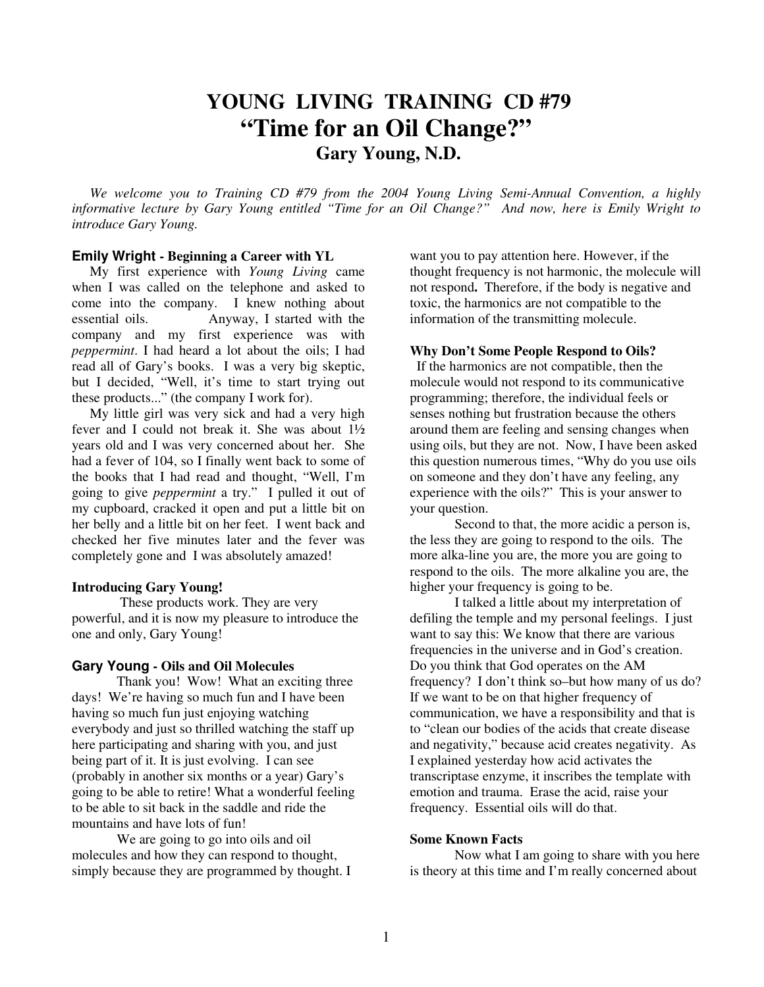# **YOUNG LIVING TRAINING CD #79 "Time for an Oil Change?" Gary Young, N.D.**

 *We welcome you to Training CD #79 from the 2004 Young Living Semi-Annual Convention, a highly informative lecture by Gary Young entitled "Time for an Oil Change?" And now, here is Emily Wright to introduce Gary Young.* 

## **Emily Wright - Beginning a Career with YL**

My first experience with *Young Living* came when I was called on the telephone and asked to come into the company. I knew nothing about essential oils. Anyway, I started with the company and my first experience was with *peppermint*. I had heard a lot about the oils; I had read all of Gary's books. I was a very big skeptic, but I decided, "Well, it's time to start trying out these products..." (the company I work for).

 My little girl was very sick and had a very high fever and I could not break it. She was about 1½ years old and I was very concerned about her. She had a fever of 104, so I finally went back to some of the books that I had read and thought, "Well, I'm going to give *peppermint* a try." I pulled it out of my cupboard, cracked it open and put a little bit on her belly and a little bit on her feet.I went back and checked her five minutes later and the fever was completely gone and I was absolutely amazed!

#### **Introducing Gary Young!**

 These products work. They are very powerful, and it is now my pleasure to introduce the one and only, Gary Young!

## **Gary Young - Oils and Oil Molecules**

 Thank you! Wow! What an exciting three days! We're having so much fun and I have been having so much fun just enjoying watching everybody and just so thrilled watching the staff up here participating and sharing with you, and just being part of it. It is just evolving. I can see (probably in another six months or a year) Gary's going to be able to retire! What a wonderful feeling to be able to sit back in the saddle and ride the mountains and have lots of fun!

 We are going to go into oils and oil molecules and how they can respond to thought, simply because they are programmed by thought. I want you to pay attention here. However, if the thought frequency is not harmonic, the molecule will not respond**.** Therefore, if the body is negative and toxic, the harmonics are not compatible to the information of the transmitting molecule.

## **Why Don't Some People Respond to Oils?**

 If the harmonics are not compatible, then the molecule would not respond to its communicative programming; therefore, the individual feels or senses nothing but frustration because the others around them are feeling and sensing changes when using oils, but they are not. Now, I have been asked this question numerous times, "Why do you use oils on someone and they don't have any feeling, any experience with the oils?" This is your answer to your question.

 Second to that, the more acidic a person is, the less they are going to respond to the oils. The more alka-line you are, the more you are going to respond to the oils. The more alkaline you are, the higher your frequency is going to be.

 I talked a little about my interpretation of defiling the temple and my personal feelings. I just want to say this: We know that there are various frequencies in the universe and in God's creation. Do you think that God operates on the AM frequency? I don't think so–but how many of us do? If we want to be on that higher frequency of communication, we have a responsibility and that is to "clean our bodies of the acids that create disease and negativity," because acid creates negativity. As I explained yesterday how acid activates the transcriptase enzyme, it inscribes the template with emotion and trauma. Erase the acid, raise your frequency. Essential oils will do that.

#### **Some Known Facts**

 Now what I am going to share with you here is theory at this time and I'm really concerned about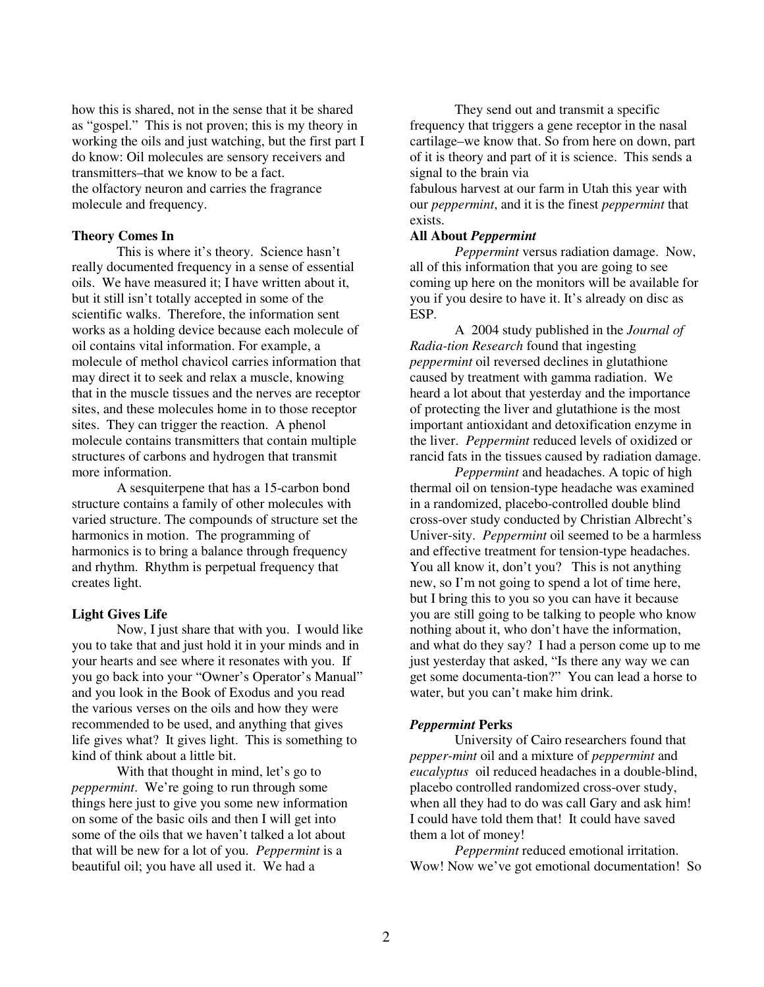how this is shared, not in the sense that it be shared as "gospel." This is not proven; this is my theory in working the oils and just watching, but the first part I do know: Oil molecules are sensory receivers and transmitters–that we know to be a fact. the olfactory neuron and carries the fragrance molecule and frequency.

## **Theory Comes In**

 This is where it's theory. Science hasn't really documented frequency in a sense of essential oils. We have measured it; I have written about it, but it still isn't totally accepted in some of the scientific walks. Therefore, the information sent works as a holding device because each molecule of oil contains vital information. For example, a molecule of methol chavicol carries information that may direct it to seek and relax a muscle, knowing that in the muscle tissues and the nerves are receptor sites, and these molecules home in to those receptor sites. They can trigger the reaction. A phenol molecule contains transmitters that contain multiple structures of carbons and hydrogen that transmit more information.

 A sesquiterpene that has a 15-carbon bond structure contains a family of other molecules with varied structure. The compounds of structure set the harmonics in motion. The programming of harmonics is to bring a balance through frequency and rhythm. Rhythm is perpetual frequency that creates light.

## **Light Gives Life**

 Now, I just share that with you. I would like you to take that and just hold it in your minds and in your hearts and see where it resonates with you. If you go back into your "Owner's Operator's Manual" and you look in the Book of Exodus and you read the various verses on the oils and how they were recommended to be used, and anything that gives life gives what? It gives light. This is something to kind of think about a little bit.

With that thought in mind, let's go to *peppermint*. We're going to run through some things here just to give you some new information on some of the basic oils and then I will get into some of the oils that we haven't talked a lot about that will be new for a lot of you. *Peppermint* is a beautiful oil; you have all used it. We had a

 They send out and transmit a specific frequency that triggers a gene receptor in the nasal cartilage–we know that. So from here on down, part of it is theory and part of it is science. This sends a signal to the brain via fabulous harvest at our farm in Utah this year with our *peppermint*, and it is the finest *peppermint* that exists.

#### **All About** *Peppermint*

*Peppermint* versus radiation damage. Now, all of this information that you are going to see coming up here on the monitors will be available for you if you desire to have it. It's already on disc as ESP.

 A 2004 study published in the *Journal of Radia-tion Research* found that ingesting *peppermint* oil reversed declines in glutathione caused by treatment with gamma radiation. We heard a lot about that yesterday and the importance of protecting the liver and glutathione is the most important antioxidant and detoxification enzyme in the liver. *Peppermint* reduced levels of oxidized or rancid fats in the tissues caused by radiation damage.

*Peppermint* and headaches. A topic of high thermal oil on tension-type headache was examined in a randomized, placebo-controlled double blind cross-over study conducted by Christian Albrecht's Univer-sity. *Peppermint* oil seemed to be a harmless and effective treatment for tension-type headaches. You all know it, don't you? This is not anything new, so I'm not going to spend a lot of time here, but I bring this to you so you can have it because you are still going to be talking to people who know nothing about it, who don't have the information, and what do they say? I had a person come up to me just yesterday that asked, "Is there any way we can get some documenta-tion?" You can lead a horse to water, but you can't make him drink.

#### *Peppermint* **Perks**

 University of Cairo researchers found that *pepper-mint* oil and a mixture of *peppermint* and *eucalyptus* oil reduced headaches in a double-blind, placebo controlled randomized cross-over study, when all they had to do was call Gary and ask him! I could have told them that! It could have saved them a lot of money!

*Peppermint* reduced emotional irritation. Wow! Now we've got emotional documentation! So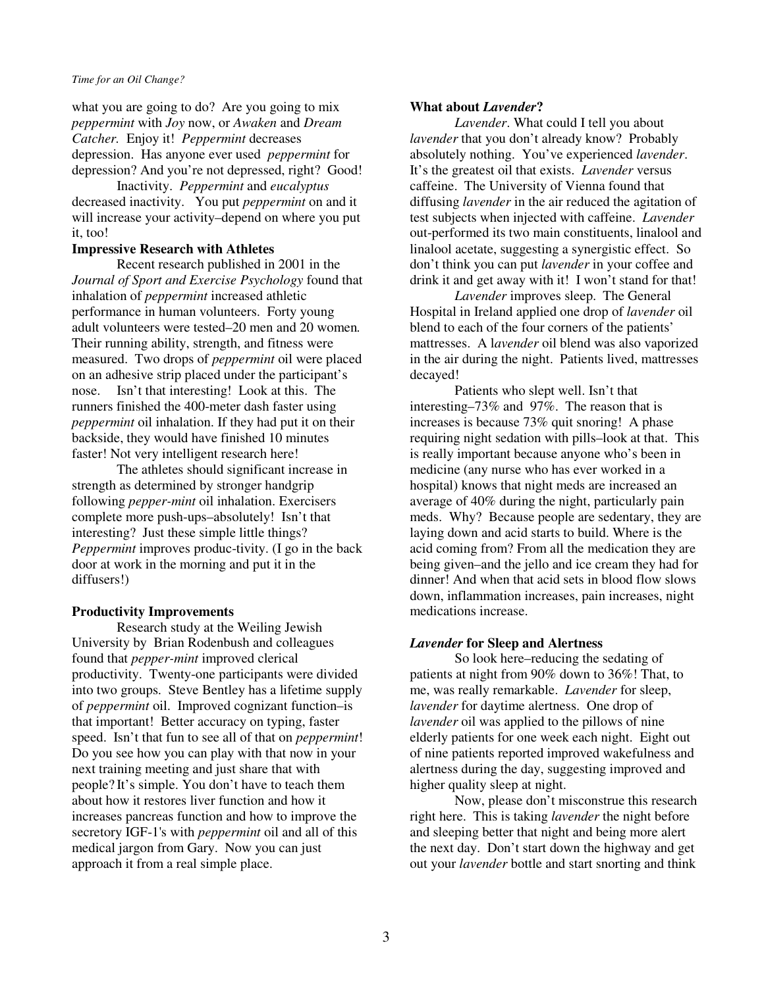what you are going to do? Are you going to mix *peppermint* with *Joy* now, or *Awaken* and *Dream Catcher.* Enjoy it! *Peppermint* decreases depression. Has anyone ever used *peppermint* for depression? And you're not depressed, right? Good!

 Inactivity. *Peppermint* and *eucalyptus*  decreased inactivity. You put *peppermint* on and it will increase your activity–depend on where you put it, too!

## **Impressive Research with Athletes**

 Recent research published in 2001 in the *Journal of Sport and Exercise Psychology* found that inhalation of *peppermint* increased athletic performance in human volunteers. Forty young adult volunteers were tested–20 men and 20 women*.*  Their running ability, strength, and fitness were measured. Two drops of *peppermint* oil were placed on an adhesive strip placed under the participant's nose. Isn't that interesting! Look at this. The runners finished the 400-meter dash faster using *peppermint* oil inhalation. If they had put it on their backside, they would have finished 10 minutes faster! Not very intelligent research here!

 The athletes should significant increase in strength as determined by stronger handgrip following *pepper-mint* oil inhalation. Exercisers complete more push-ups–absolutely! Isn't that interesting? Just these simple little things? *Peppermint* improves produc-tivity. (I go in the back door at work in the morning and put it in the diffusers!)

## **Productivity Improvements**

 Research study at the Weiling Jewish University by Brian Rodenbush and colleagues found that *pepper-mint* improved clerical productivity. Twenty-one participants were divided into two groups. Steve Bentley has a lifetime supply of *peppermint* oil. Improved cognizant function–is that important! Better accuracy on typing, faster speed. Isn't that fun to see all of that on *peppermint*! Do you see how you can play with that now in your next training meeting and just share that with people? It's simple. You don't have to teach them about how it restores liver function and how it increases pancreas function and how to improve the secretory IGF-1's with *peppermint* oil and all of this medical jargon from Gary. Now you can just approach it from a real simple place.

## **What about** *Lavender***?**

*Lavender*. What could I tell you about *lavender* that you don't already know? Probably absolutely nothing. You've experienced *lavender*. It's the greatest oil that exists. *Lavender* versus caffeine. The University of Vienna found that diffusing *lavender* in the air reduced the agitation of test subjects when injected with caffeine. *Lavender* out-performed its two main constituents, linalool and linalool acetate, suggesting a synergistic effect. So don't think you can put *lavender* in your coffee and drink it and get away with it! I won't stand for that!

*Lavender* improves sleep. The General Hospital in Ireland applied one drop of *lavender* oil blend to each of the four corners of the patients' mattresses. A l*avender* oil blend was also vaporized in the air during the night. Patients lived, mattresses decayed!

 Patients who slept well. Isn't that interesting–73% and 97%. The reason that is increases is because 73% quit snoring! A phase requiring night sedation with pills–look at that. This is really important because anyone who's been in medicine (any nurse who has ever worked in a hospital) knows that night meds are increased an average of 40% during the night, particularly pain meds. Why? Because people are sedentary, they are laying down and acid starts to build. Where is the acid coming from? From all the medication they are being given–and the jello and ice cream they had for dinner! And when that acid sets in blood flow slows down, inflammation increases, pain increases, night medications increase.

## *Lavender* **for Sleep and Alertness**

 So look here–reducing the sedating of patients at night from 90% down to 36%! That, to me, was really remarkable. *Lavender* for sleep, *lavender* for daytime alertness. One drop of *lavender* oil was applied to the pillows of nine elderly patients for one week each night. Eight out of nine patients reported improved wakefulness and alertness during the day, suggesting improved and higher quality sleep at night.

 Now, please don't misconstrue this research right here. This is taking *lavender* the night before and sleeping better that night and being more alert the next day. Don't start down the highway and get out your *lavender* bottle and start snorting and think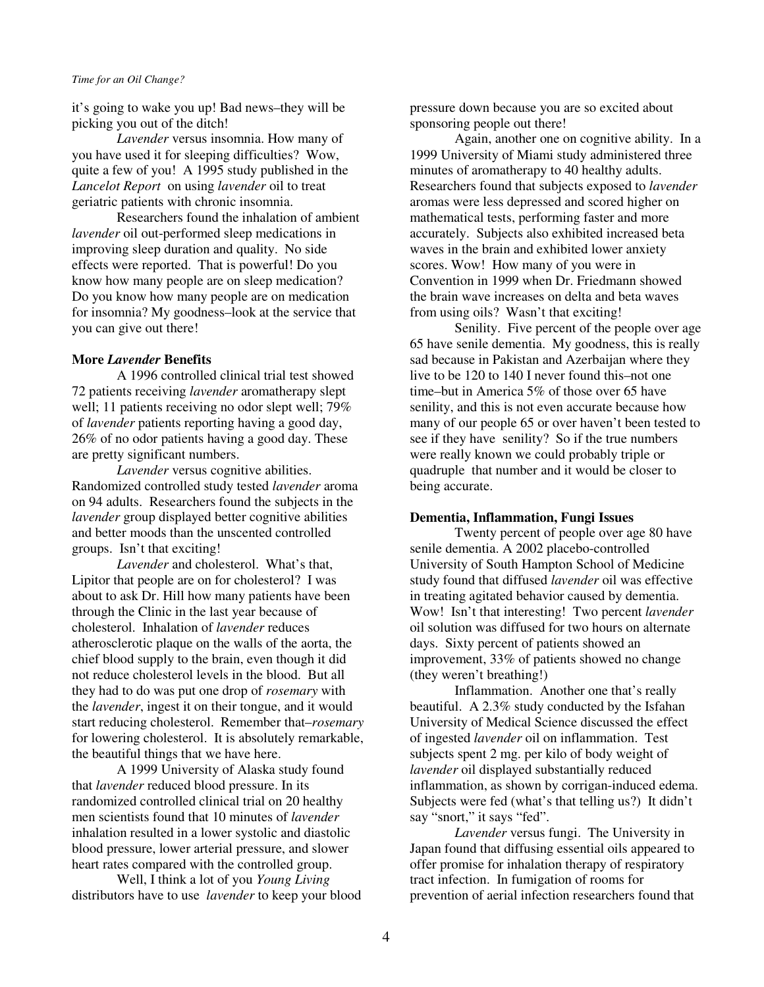it's going to wake you up! Bad news–they will be picking you out of the ditch!

*Lavender* versus insomnia. How many of you have used it for sleeping difficulties? Wow, quite a few of you! A 1995 study published in the *Lancelot Report* on using *lavender* oil to treat geriatric patients with chronic insomnia.

 Researchers found the inhalation of ambient *lavender* oil out-performed sleep medications in improving sleep duration and quality. No side effects were reported. That is powerful! Do you know how many people are on sleep medication? Do you know how many people are on medication for insomnia? My goodness–look at the service that you can give out there!

## **More** *Lavender* **Benefits**

 A 1996 controlled clinical trial test showed 72 patients receiving *lavender* aromatherapy slept well; 11 patients receiving no odor slept well; 79% of *lavender* patients reporting having a good day, 26% of no odor patients having a good day. These are pretty significant numbers.

*Lavender* versus cognitive abilities. Randomized controlled study tested *lavender* aroma on 94 adults. Researchers found the subjects in the *lavender* group displayed better cognitive abilities and better moods than the unscented controlled groups. Isn't that exciting!

*Lavender* and cholesterol. What's that, Lipitor that people are on for cholesterol? I was about to ask Dr. Hill how many patients have been through the Clinic in the last year because of cholesterol. Inhalation of *lavender* reduces atherosclerotic plaque on the walls of the aorta, the chief blood supply to the brain, even though it did not reduce cholesterol levels in the blood. But all they had to do was put one drop of *rosemary* with the *lavender*, ingest it on their tongue, and it would start reducing cholesterol. Remember that–*rosemary* for lowering cholesterol. It is absolutely remarkable, the beautiful things that we have here.

 A 1999 University of Alaska study found that *lavender* reduced blood pressure. In its randomized controlled clinical trial on 20 healthy men scientists found that 10 minutes of *lavender* inhalation resulted in a lower systolic and diastolic blood pressure, lower arterial pressure, and slower heart rates compared with the controlled group.

 Well, I think a lot of you *Young Living* distributors have to use *lavender* to keep your blood pressure down because you are so excited about sponsoring people out there!

 Again, another one on cognitive ability. In a 1999 University of Miami study administered three minutes of aromatherapy to 40 healthy adults. Researchers found that subjects exposed to *lavender*  aromas were less depressed and scored higher on mathematical tests, performing faster and more accurately. Subjects also exhibited increased beta waves in the brain and exhibited lower anxiety scores. Wow! How many of you were in Convention in 1999 when Dr. Friedmann showed the brain wave increases on delta and beta waves from using oils? Wasn't that exciting!

 Senility. Five percent of the people over age 65 have senile dementia. My goodness, this is really sad because in Pakistan and Azerbaijan where they live to be 120 to 140 I never found this–not one time–but in America 5% of those over 65 have senility, and this is not even accurate because how many of our people 65 or over haven't been tested to see if they have senility? So if the true numbers were really known we could probably triple or quadruple that number and it would be closer to being accurate.

#### **Dementia, Inflammation, Fungi Issues**

 Twenty percent of people over age 80 have senile dementia. A 2002 placebo-controlled University of South Hampton School of Medicine study found that diffused *lavender* oil was effective in treating agitated behavior caused by dementia. Wow! Isn't that interesting! Two percent *lavender* oil solution was diffused for two hours on alternate days. Sixty percent of patients showed an improvement, 33% of patients showed no change (they weren't breathing!)

 Inflammation. Another one that's really beautiful. A 2.3% study conducted by the Isfahan University of Medical Science discussed the effect of ingested *lavender* oil on inflammation. Test subjects spent 2 mg. per kilo of body weight of *lavender* oil displayed substantially reduced inflammation, as shown by corrigan-induced edema. Subjects were fed (what's that telling us?) It didn't say "snort," it says "fed".

*Lavender* versus fungi. The University in Japan found that diffusing essential oils appeared to offer promise for inhalation therapy of respiratory tract infection. In fumigation of rooms for prevention of aerial infection researchers found that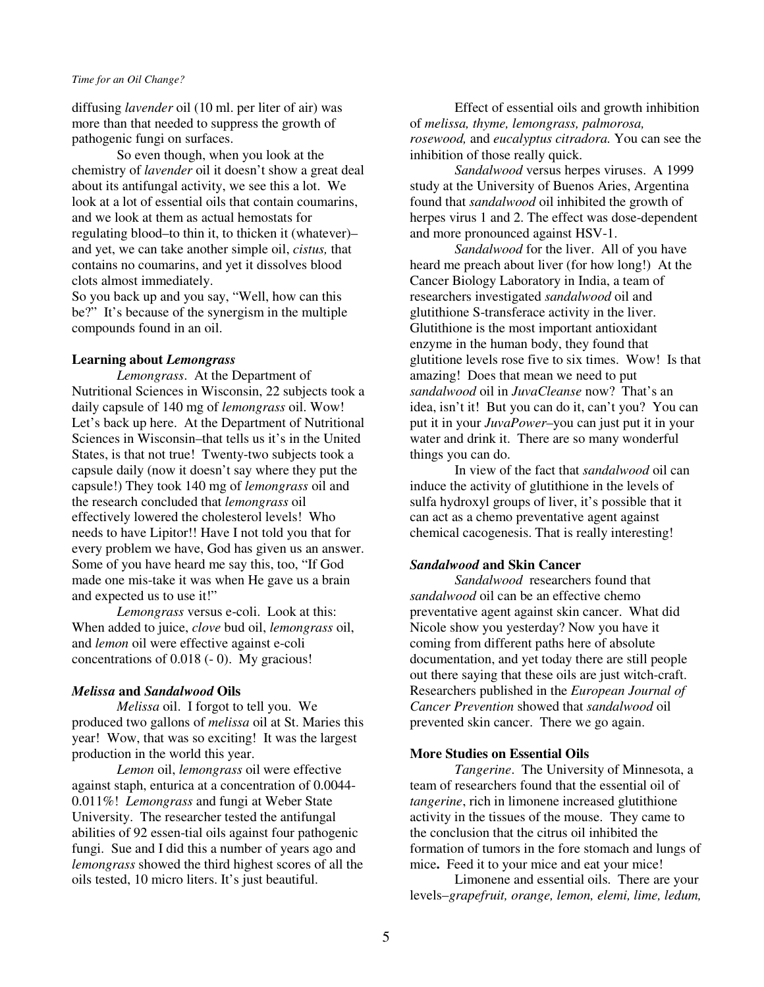diffusing *lavender* oil (10 ml. per liter of air) was more than that needed to suppress the growth of pathogenic fungi on surfaces.

 So even though, when you look at the chemistry of *lavender* oil it doesn't show a great deal about its antifungal activity, we see this a lot. We look at a lot of essential oils that contain coumarins, and we look at them as actual hemostats for regulating blood–to thin it, to thicken it (whatever)– and yet, we can take another simple oil, *cistus,* that contains no coumarins, and yet it dissolves blood clots almost immediately.

So you back up and you say, "Well, how can this be?" It's because of the synergism in the multiple compounds found in an oil.

## **Learning about** *Lemongrass*

*Lemongrass*. At the Department of Nutritional Sciences in Wisconsin, 22 subjects took a daily capsule of 140 mg of *lemongrass* oil. Wow! Let's back up here. At the Department of Nutritional Sciences in Wisconsin–that tells us it's in the United States, is that not true! Twenty-two subjects took a capsule daily (now it doesn't say where they put the capsule!) They took 140 mg of *lemongrass* oil and the research concluded that *lemongrass* oil effectively lowered the cholesterol levels! Who needs to have Lipitor!! Have I not told you that for every problem we have, God has given us an answer. Some of you have heard me say this, too, "If God made one mis-take it was when He gave us a brain and expected us to use it!"

*Lemongrass* versus e-coli. Look at this: When added to juice, *clove* bud oil, *lemongrass* oil, and *lemon* oil were effective against e-coli concentrations of 0.018 (- 0). My gracious!

#### *Melissa* **and** *Sandalwood* **Oils**

*Melissa* oil. I forgot to tell you. We produced two gallons of *melissa* oil at St. Maries this year! Wow, that was so exciting! It was the largest production in the world this year.

 *Lemon* oil, *lemongrass* oil were effective against staph, enturica at a concentration of 0.0044- 0.011%! *Lemongrass* and fungi at Weber State University. The researcher tested the antifungal abilities of 92 essen-tial oils against four pathogenic fungi. Sue and I did this a number of years ago and *lemongrass* showed the third highest scores of all the oils tested, 10 micro liters. It's just beautiful.

 Effect of essential oils and growth inhibition of *melissa, thyme, lemongrass, palmorosa, rosewood,* and *eucalyptus citradora.* You can see the inhibition of those really quick.

*Sandalwood* versus herpes viruses. A 1999 study at the University of Buenos Aries, Argentina found that *sandalwood* oil inhibited the growth of herpes virus 1 and 2. The effect was dose-dependent and more pronounced against HSV-1.

*Sandalwood* for the liver. All of you have heard me preach about liver (for how long!) At the Cancer Biology Laboratory in India, a team of researchers investigated *sandalwood* oil and glutithione S-transferace activity in the liver. Glutithione is the most important antioxidant enzyme in the human body, they found that glutitione levels rose five to six times. Wow! Is that amazing! Does that mean we need to put *sandalwood* oil in *JuvaCleanse* now? That's an idea, isn't it! But you can do it, can't you? You can put it in your *JuvaPower–*you can just put it in your water and drink it. There are so many wonderful things you can do.

 In view of the fact that *sandalwood* oil can induce the activity of glutithione in the levels of sulfa hydroxyl groups of liver, it's possible that it can act as a chemo preventative agent against chemical cacogenesis. That is really interesting!

## *Sandalwood* **and Skin Cancer**

*Sandalwood* researchers found that *sandalwood* oil can be an effective chemo preventative agent against skin cancer. What did Nicole show you yesterday? Now you have it coming from different paths here of absolute documentation, and yet today there are still people out there saying that these oils are just witch-craft. Researchers published in the *European Journal of Cancer Prevention* showed that *sandalwood* oil prevented skin cancer. There we go again.

## **More Studies on Essential Oils**

*Tangerine*. The University of Minnesota, a team of researchers found that the essential oil of *tangerine*, rich in limonene increased glutithione activity in the tissues of the mouse. They came to the conclusion that the citrus oil inhibited the formation of tumors in the fore stomach and lungs of mice**.** Feed it to your mice and eat your mice!

 Limonene and essential oils. There are your levels–*grapefruit, orange, lemon, elemi, lime, ledum,*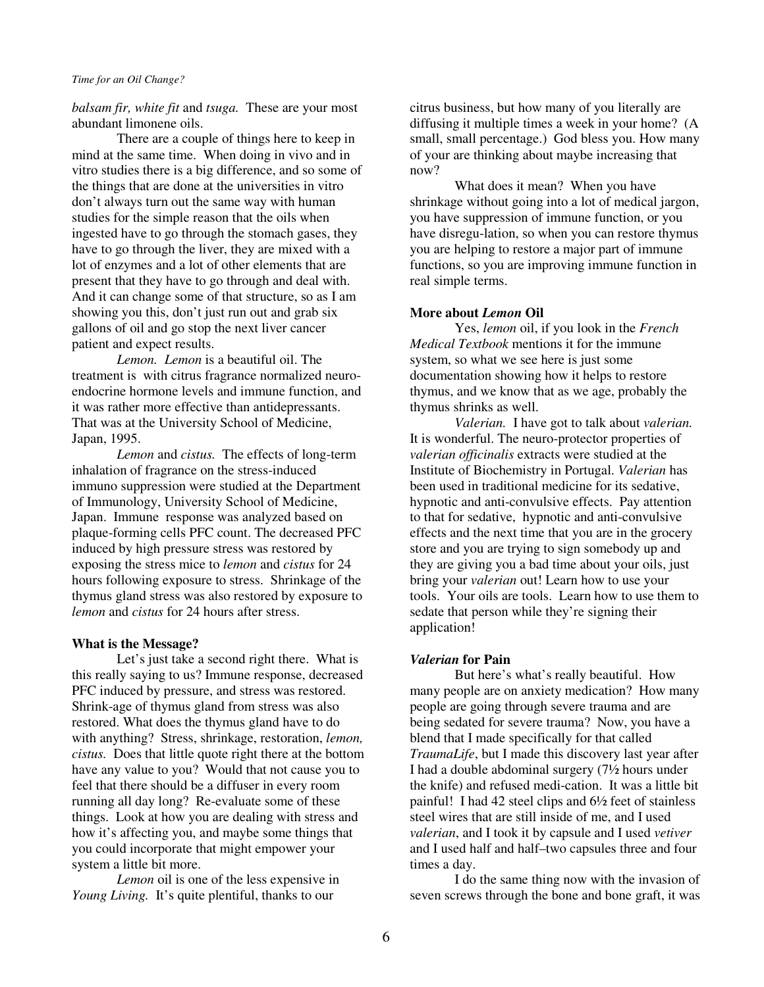*balsam fir, white fit* and *tsuga.* These are your most abundant limonene oils.

 There are a couple of things here to keep in mind at the same time. When doing in vivo and in vitro studies there is a big difference, and so some of the things that are done at the universities in vitro don't always turn out the same way with human studies for the simple reason that the oils when ingested have to go through the stomach gases, they have to go through the liver, they are mixed with a lot of enzymes and a lot of other elements that are present that they have to go through and deal with. And it can change some of that structure, so as I am showing you this, don't just run out and grab six gallons of oil and go stop the next liver cancer patient and expect results.

*Lemon. Lemon* is a beautiful oil. The treatment is with citrus fragrance normalized neuroendocrine hormone levels and immune function, and it was rather more effective than antidepressants. That was at the University School of Medicine, Japan, 1995.

*Lemon* and *cistus.* The effects of long-term inhalation of fragrance on the stress-induced immuno suppression were studied at the Department of Immunology, University School of Medicine, Japan. Immune response was analyzed based on plaque-forming cells PFC count. The decreased PFC induced by high pressure stress was restored by exposing the stress mice to *lemon* and *cistus* for 24 hours following exposure to stress. Shrinkage of the thymus gland stress was also restored by exposure to *lemon* and *cistus* for 24 hours after stress.

#### **What is the Message?**

 Let's just take a second right there.What is this really saying to us? Immune response, decreased PFC induced by pressure, and stress was restored. Shrink-age of thymus gland from stress was also restored. What does the thymus gland have to do with anything? Stress, shrinkage, restoration, *lemon, cistus.* Does that little quote right there at the bottom have any value to you? Would that not cause you to feel that there should be a diffuser in every room running all day long? Re-evaluate some of these things. Look at how you are dealing with stress and how it's affecting you, and maybe some things that you could incorporate that might empower your system a little bit more.

*Lemon* oil is one of the less expensive in *Young Living.* It's quite plentiful, thanks to our

citrus business, but how many of you literally are diffusing it multiple times a week in your home? (A small, small percentage.) God bless you. How many of your are thinking about maybe increasing that now?

What does it mean? When you have shrinkage without going into a lot of medical jargon, you have suppression of immune function, or you have disregu-lation, so when you can restore thymus you are helping to restore a major part of immune functions, so you are improving immune function in real simple terms.

## **More about** *Lemon* **Oil**

 Yes, *lemon* oil, if you look in the *French Medical Textbook* mentions it for the immune system, so what we see here is just some documentation showing how it helps to restore thymus, and we know that as we age, probably the thymus shrinks as well.

*Valerian.* I have got to talk about *valerian.*  It is wonderful. The neuro-protector properties of *valerian officinalis* extracts were studied at the Institute of Biochemistry in Portugal. *Valerian* has been used in traditional medicine for its sedative, hypnotic and anti-convulsive effects. Pay attention to that for sedative, hypnotic and anti-convulsive effects and the next time that you are in the grocery store and you are trying to sign somebody up and they are giving you a bad time about your oils, just bring your *valerian* out! Learn how to use your tools. Your oils are tools. Learn how to use them to sedate that person while they're signing their application!

## *Valerian* **for Pain**

 But here's what's really beautiful. How many people are on anxiety medication? How many people are going through severe trauma and are being sedated for severe trauma? Now, you have a blend that I made specifically for that called *TraumaLife*, but I made this discovery last year after I had a double abdominal surgery (7½ hours under the knife) and refused medi-cation. It was a little bit painful! I had 42 steel clips and 6½ feet of stainless steel wires that are still inside of me, and I used *valerian*, and I took it by capsule and I used *vetiver* and I used half and half–two capsules three and four times a day.

 I do the same thing now with the invasion of seven screws through the bone and bone graft, it was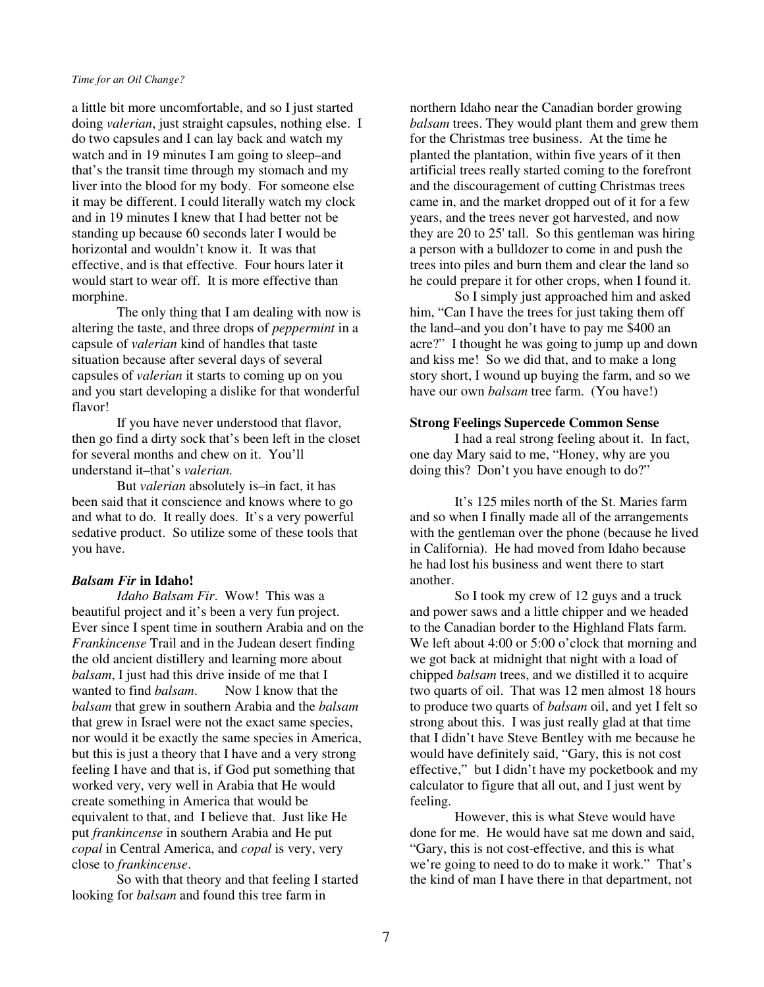a little bit more uncomfortable, and so I just started doing *valerian*, just straight capsules, nothing else. I do two capsules and I can lay back and watch my watch and in 19 minutes I am going to sleep–and that's the transit time through my stomach and my liver into the blood for my body. For someone else it may be different. I could literally watch my clock and in 19 minutes I knew that I had better not be standing up because 60 seconds later I would be horizontal and wouldn't know it. It was that effective, and is that effective. Four hours later it would start to wear off. It is more effective than morphine.

 The only thing that I am dealing with now is altering the taste, and three drops of *peppermint* in a capsule of *valerian* kind of handles that taste situation because after several days of several capsules of *valerian* it starts to coming up on you and you start developing a dislike for that wonderful flavor!

 If you have never understood that flavor, then go find a dirty sock that's been left in the closet for several months and chew on it. You'll understand it–that's *valerian.*

 But *valerian* absolutely is–in fact, it has been said that it conscience and knows where to go and what to do. It really does. It's a very powerful sedative product. So utilize some of these tools that you have.

## *Balsam Fir* **in Idaho!**

 *Idaho Balsam Fir*. Wow! This was a beautiful project and it's been a very fun project. Ever since I spent time in southern Arabia and on the *Frankincense* Trail and in the Judean desert finding the old ancient distillery and learning more about *balsam*, I just had this drive inside of me that I wanted to find *balsam*. Now I know that the *balsam* that grew in southern Arabia and the *balsam* that grew in Israel were not the exact same species, nor would it be exactly the same species in America, but this is just a theory that I have and a very strong feeling I have and that is, if God put something that worked very, very well in Arabia that He would create something in America that would be equivalent to that, and I believe that. Just like He put *frankincense* in southern Arabia and He put *copal* in Central America, and *copal* is very, very close to *frankincense*.

 So with that theory and that feeling I started looking for *balsam* and found this tree farm in

northern Idaho near the Canadian border growing *balsam* trees. They would plant them and grew them for the Christmas tree business. At the time he planted the plantation, within five years of it then artificial trees really started coming to the forefront and the discouragement of cutting Christmas trees came in, and the market dropped out of it for a few years, and the trees never got harvested, and now they are 20 to 25' tall. So this gentleman was hiring a person with a bulldozer to come in and push the trees into piles and burn them and clear the land so he could prepare it for other crops, when I found it.

 So I simply just approached him and asked him, "Can I have the trees for just taking them off the land–and you don't have to pay me \$400 an acre?" I thought he was going to jump up and down and kiss me! So we did that, and to make a long story short, I wound up buying the farm, and so we have our own *balsam* tree farm. (You have!)

#### **Strong Feelings Supercede Common Sense**

 I had a real strong feeling about it. In fact, one day Mary said to me, "Honey, why are you doing this? Don't you have enough to do?"

 It's 125 miles north of the St. Maries farm and so when I finally made all of the arrangements with the gentleman over the phone (because he lived in California). He had moved from Idaho because he had lost his business and went there to start another.

 So I took my crew of 12 guys and a truck and power saws and a little chipper and we headed to the Canadian border to the Highland Flats farm. We left about 4:00 or 5:00 o'clock that morning and we got back at midnight that night with a load of chipped *balsam* trees, and we distilled it to acquire two quarts of oil. That was 12 men almost 18 hours to produce two quarts of *balsam* oil, and yet I felt so strong about this. I was just really glad at that time that I didn't have Steve Bentley with me because he would have definitely said, "Gary, this is not cost effective," but I didn't have my pocketbook and my calculator to figure that all out, and I just went by feeling.

 However, this is what Steve would have done for me. He would have sat me down and said, "Gary, this is not cost-effective, and this is what we're going to need to do to make it work." That's the kind of man I have there in that department, not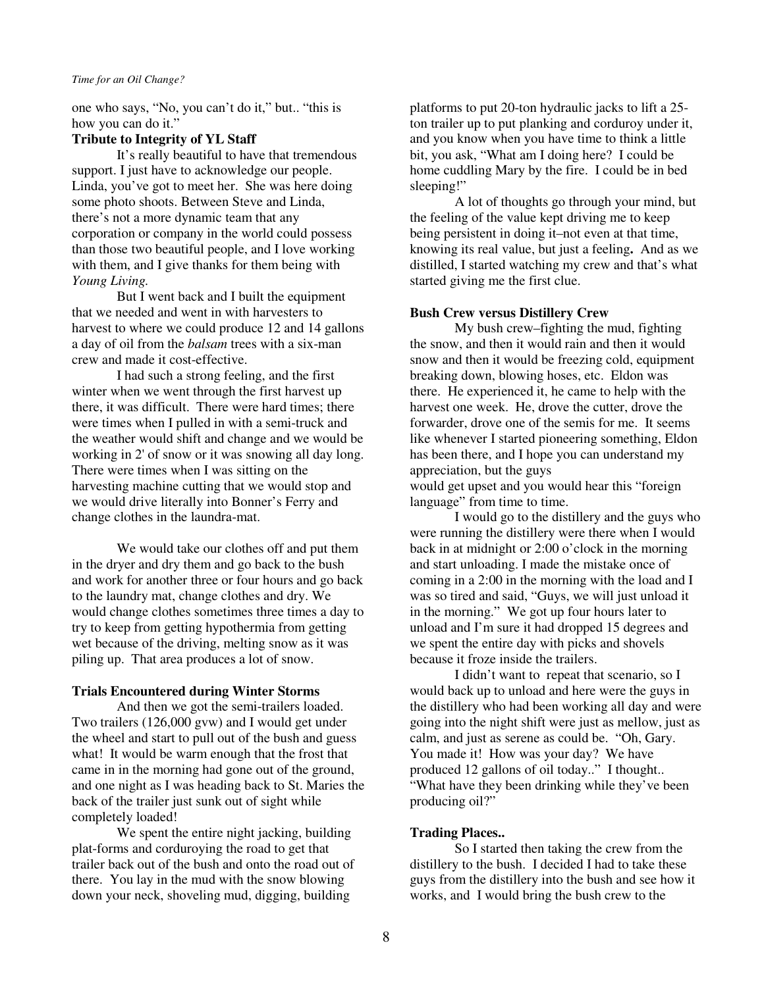one who says, "No, you can't do it," but.. "this is how you can do it."

## **Tribute to Integrity of YL Staff**

 It's really beautiful to have that tremendous support. I just have to acknowledge our people. Linda, you've got to meet her. She was here doing some photo shoots. Between Steve and Linda, there's not a more dynamic team that any corporation or company in the world could possess than those two beautiful people, and I love working with them, and I give thanks for them being with *Young Living.*

But I went back and I built the equipment that we needed and went in with harvesters to harvest to where we could produce 12 and 14 gallons a day of oil from the *balsam* trees with a six-man crew and made it cost-effective.

 I had such a strong feeling, and the first winter when we went through the first harvest up there, it was difficult. There were hard times; there were times when I pulled in with a semi-truck and the weather would shift and change and we would be working in 2' of snow or it was snowing all day long. There were times when I was sitting on the harvesting machine cutting that we would stop and we would drive literally into Bonner's Ferry and change clothes in the laundra-mat.

 We would take our clothes off and put them in the dryer and dry them and go back to the bush and work for another three or four hours and go back to the laundry mat, change clothes and dry. We would change clothes sometimes three times a day to try to keep from getting hypothermia from getting wet because of the driving, melting snow as it was piling up. That area produces a lot of snow.

#### **Trials Encountered during Winter Storms**

 And then we got the semi-trailers loaded. Two trailers (126,000 gvw) and I would get under the wheel and start to pull out of the bush and guess what! It would be warm enough that the frost that came in in the morning had gone out of the ground, and one night as I was heading back to St. Maries the back of the trailer just sunk out of sight while completely loaded!

We spent the entire night jacking, building plat-forms and corduroying the road to get that trailer back out of the bush and onto the road out of there. You lay in the mud with the snow blowing down your neck, shoveling mud, digging, building

platforms to put 20-ton hydraulic jacks to lift a 25 ton trailer up to put planking and corduroy under it, and you know when you have time to think a little bit, you ask, "What am I doing here? I could be home cuddling Mary by the fire. I could be in bed sleeping!"

 A lot of thoughts go through your mind, but the feeling of the value kept driving me to keep being persistent in doing it–not even at that time, knowing its real value, but just a feeling**.** And as we distilled, I started watching my crew and that's what started giving me the first clue.

#### **Bush Crew versus Distillery Crew**

 My bush crew–fighting the mud, fighting the snow, and then it would rain and then it would snow and then it would be freezing cold, equipment breaking down, blowing hoses, etc. Eldon was there. He experienced it, he came to help with the harvest one week. He, drove the cutter, drove the forwarder, drove one of the semis for me. It seems like whenever I started pioneering something, Eldon has been there, and I hope you can understand my appreciation, but the guys would get upset and you would hear this "foreign

language" from time to time.

 I would go to the distillery and the guys who were running the distillery were there when I would back in at midnight or 2:00 o'clock in the morning and start unloading. I made the mistake once of coming in a 2:00 in the morning with the load and I was so tired and said, "Guys, we will just unload it in the morning." We got up four hours later to unload and I'm sure it had dropped 15 degrees and we spent the entire day with picks and shovels because it froze inside the trailers.

 I didn't want to repeat that scenario, so I would back up to unload and here were the guys in the distillery who had been working all day and were going into the night shift were just as mellow, just as calm, and just as serene as could be. "Oh, Gary. You made it! How was your day? We have produced 12 gallons of oil today.." I thought.. "What have they been drinking while they've been producing oil?"

## **Trading Places..**

 So I started then taking the crew from the distillery to the bush. I decided I had to take these guys from the distillery into the bush and see how it works, and I would bring the bush crew to the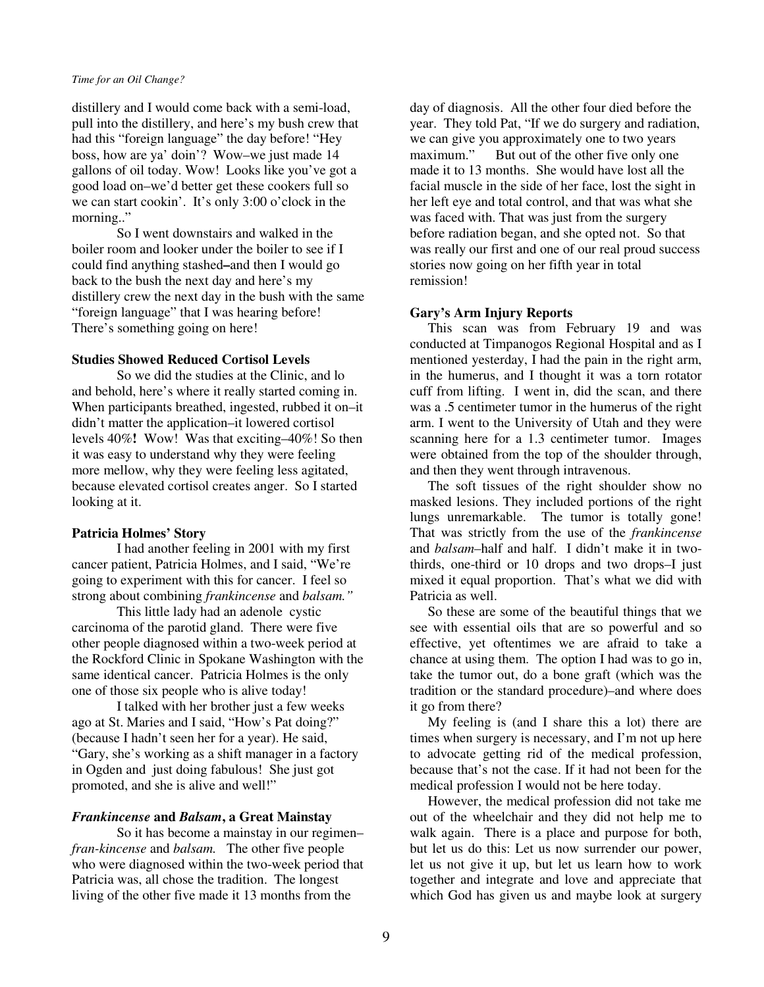distillery and I would come back with a semi-load, pull into the distillery, and here's my bush crew that had this "foreign language" the day before! "Hey boss, how are ya' doin'? Wow–we just made 14 gallons of oil today. Wow! Looks like you've got a good load on–we'd better get these cookers full so we can start cookin'. It's only 3:00 o'clock in the morning.."

 So I went downstairs and walked in the boiler room and looker under the boiler to see if I could find anything stashed**–**and then I would go back to the bush the next day and here's my distillery crew the next day in the bush with the same "foreign language" that I was hearing before! There's something going on here!

## **Studies Showed Reduced Cortisol Levels**

 So we did the studies at the Clinic, and lo and behold, here's where it really started coming in. When participants breathed, ingested, rubbed it on–it didn't matter the application–it lowered cortisol levels 40%**!** Wow! Was that exciting–40%! So then it was easy to understand why they were feeling more mellow, why they were feeling less agitated, because elevated cortisol creates anger. So I started looking at it.

## **Patricia Holmes' Story**

 I had another feeling in 2001 with my first cancer patient, Patricia Holmes, and I said, "We're going to experiment with this for cancer. I feel so strong about combining *frankincense* and *balsam."*

 This little lady had an adenole cystic carcinoma of the parotid gland. There were five other people diagnosed within a two-week period at the Rockford Clinic in Spokane Washington with the same identical cancer. Patricia Holmes is the only one of those six people who is alive today!

 I talked with her brother just a few weeks ago at St. Maries and I said, "How's Pat doing?" (because I hadn't seen her for a year). He said, "Gary, she's working as a shift manager in a factory in Ogden and just doing fabulous! She just got promoted, and she is alive and well!"

## *Frankincense* **and** *Balsam***, a Great Mainstay**

 So it has become a mainstay in our regimen– *fran-kincense* and *balsam.* The other five people who were diagnosed within the two-week period that Patricia was, all chose the tradition. The longest living of the other five made it 13 months from the

day of diagnosis. All the other four died before the year. They told Pat, "If we do surgery and radiation, we can give you approximately one to two years maximum." But out of the other five only one made it to 13 months. She would have lost all the facial muscle in the side of her face, lost the sight in her left eye and total control, and that was what she was faced with. That was just from the surgery before radiation began, and she opted not. So that was really our first and one of our real proud success stories now going on her fifth year in total remission!

## **Gary's Arm Injury Reports**

 This scan was from February 19 and was conducted at Timpanogos Regional Hospital and as I mentioned yesterday, I had the pain in the right arm, in the humerus, and I thought it was a torn rotator cuff from lifting. I went in, did the scan, and there was a .5 centimeter tumor in the humerus of the right arm. I went to the University of Utah and they were scanning here for a 1.3 centimeter tumor. Images were obtained from the top of the shoulder through, and then they went through intravenous.

 The soft tissues of the right shoulder show no masked lesions. They included portions of the right lungs unremarkable. The tumor is totally gone! That was strictly from the use of the *frankincense* and *balsam–*half and half. I didn't make it in twothirds, one-third or 10 drops and two drops–I just mixed it equal proportion. That's what we did with Patricia as well.

 So these are some of the beautiful things that we see with essential oils that are so powerful and so effective, yet oftentimes we are afraid to take a chance at using them. The option I had was to go in, take the tumor out, do a bone graft (which was the tradition or the standard procedure)–and where does it go from there?

 My feeling is (and I share this a lot) there are times when surgery is necessary, and I'm not up here to advocate getting rid of the medical profession, because that's not the case. If it had not been for the medical profession I would not be here today.

 However, the medical profession did not take me out of the wheelchair and they did not help me to walk again. There is a place and purpose for both, but let us do this: Let us now surrender our power, let us not give it up, but let us learn how to work together and integrate and love and appreciate that which God has given us and maybe look at surgery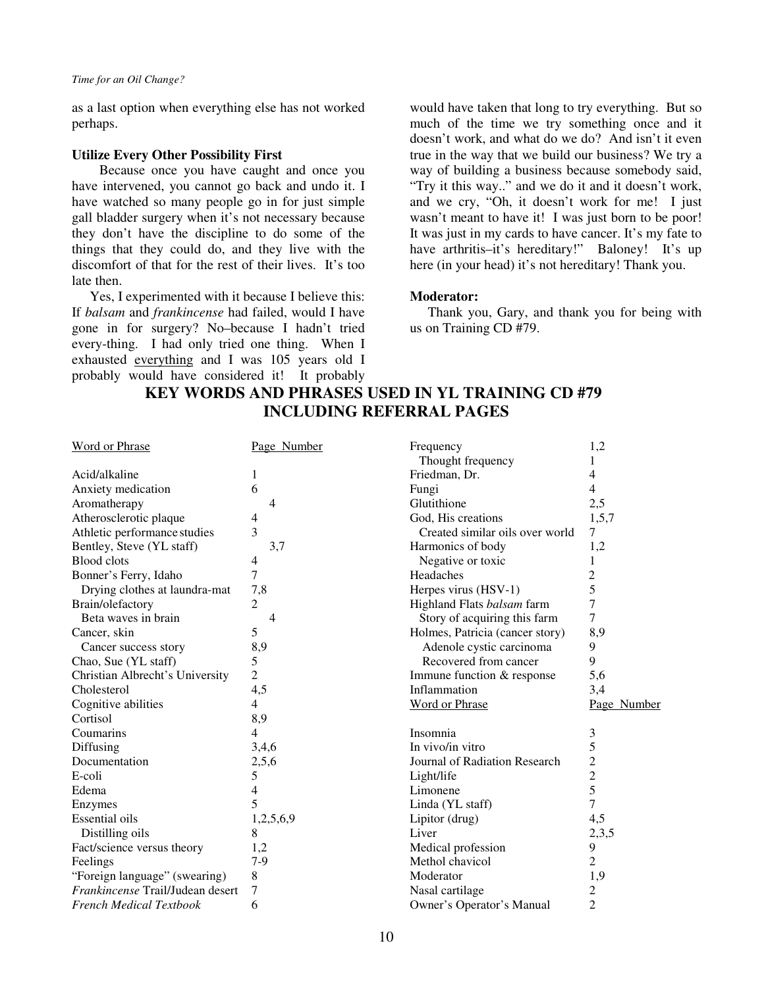as a last option when everything else has not worked perhaps.

#### **Utilize Every Other Possibility First**

 Because once you have caught and once you have intervened, you cannot go back and undo it. I have watched so many people go in for just simple gall bladder surgery when it's not necessary because they don't have the discipline to do some of the things that they could do, and they live with the discomfort of that for the rest of their lives. It's too late then.

 Yes, I experimented with it because I believe this: If *balsam* and *frankincense* had failed, would I have gone in for surgery? No–because I hadn't tried every-thing. I had only tried one thing. When I exhausted everything and I was 105 years old I probably would have considered it! It probably would have taken that long to try everything. But so much of the time we try something once and it doesn't work, and what do we do? And isn't it even true in the way that we build our business? We try a way of building a business because somebody said, "Try it this way.." and we do it and it doesn't work, and we cry, "Oh, it doesn't work for me! I just wasn't meant to have it! I was just born to be poor! It was just in my cards to have cancer. It's my fate to have arthritis-it's hereditary!" Baloney! It's up here (in your head) it's not hereditary! Thank you.

#### **Moderator:**

Thank you, Gary, and thank you for being with us on Training CD #79.

| <b>Word or Phrase</b>            | Page Number    | Frequency<br>Thought frequency  | 1,2<br>1       |
|----------------------------------|----------------|---------------------------------|----------------|
| Acid/alkaline                    | 1              | Friedman, Dr.                   | 4              |
| Anxiety medication               | 6              | Fungi                           | 4              |
| Aromatherapy                     | 4              | Glutithione                     | 2,5            |
| Atherosclerotic plaque           | 4              | God, His creations              | 1,5,7          |
|                                  | 3              |                                 |                |
| Athletic performance studies     |                | Created similar oils over world | 7              |
| Bentley, Steve (YL staff)        | 3,7            | Harmonics of body               | 1,2            |
| <b>Blood</b> clots               | 4              | Negative or toxic               | 1              |
| Bonner's Ferry, Idaho            | 7              | Headaches                       | 2              |
| Drying clothes at laundra-mat    | 7,8            | Herpes virus (HSV-1)            | 5              |
| Brain/olefactory                 | 2              | Highland Flats balsam farm      | 7              |
| Beta waves in brain              | 4              | Story of acquiring this farm    | $\tau$         |
| Cancer, skin                     | 5              | Holmes, Patricia (cancer story) | 8,9            |
| Cancer success story             | 8,9            | Adenole cystic carcinoma        | 9              |
| Chao, Sue (YL staff)             | 5              | Recovered from cancer           | 9              |
| Christian Albrecht's University  | $\overline{2}$ | Immune function & response      | 5,6            |
| Cholesterol                      | 4,5            | Inflammation                    | 3,4            |
| Cognitive abilities              | 4              | <b>Word or Phrase</b>           | Page Number    |
| Cortisol                         | 8,9            |                                 |                |
| Coumarins                        | 4              | Insomnia                        | 3              |
| Diffusing                        | 3,4,6          | In vivo/in vitro                | 5              |
| Documentation                    | 2,5,6          | Journal of Radiation Research   | $\overline{c}$ |
| E-coli                           | 5              | Light/life                      | $\overline{c}$ |
| Edema                            | 4              | Limonene                        | 5              |
| Enzymes                          | 5              | Linda (YL staff)                | $\overline{7}$ |
| <b>Essential oils</b>            | 1,2,5,6,9      | Lipitor (drug)                  | 4,5            |
| Distilling oils                  | 8              | Liver                           | 2,3,5          |
| Fact/science versus theory       | 1,2            | Medical profession              | 9              |
| Feelings                         | $7-9$          | Methol chavicol                 | $\overline{2}$ |
| "Foreign language" (swearing)    | 8              | Moderator                       | 1,9            |
| Frankincense Trail/Judean desert | 7              | Nasal cartilage                 | 2              |
| <b>French Medical Textbook</b>   | 6              | Owner's Operator's Manual       | $\overline{2}$ |
|                                  |                |                                 |                |

# **KEY WORDS AND PHRASES USED IN YL TRAINING CD #79 INCLUDING REFERRAL PAGES**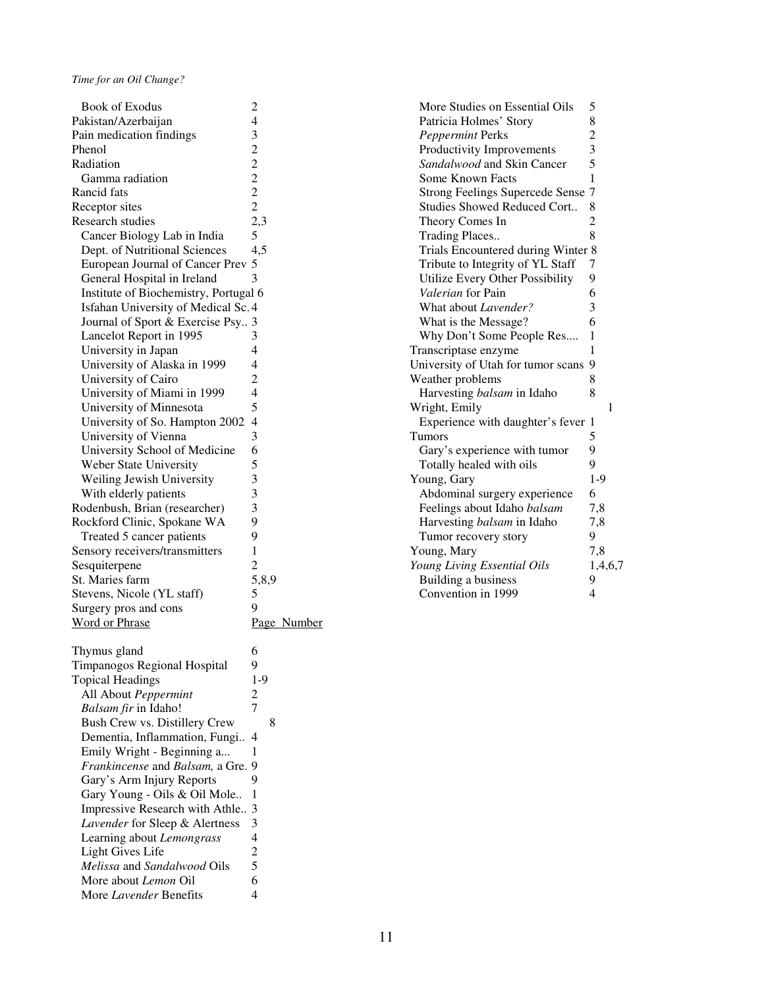| <b>Book of Exodus</b>                 | $\overline{c}$           | More Studies on Essential Oils       | 5              |
|---------------------------------------|--------------------------|--------------------------------------|----------------|
| Pakistan/Azerbaijan                   | 4                        | Patricia Holmes' Story               | $\,$ 8 $\,$    |
| Pain medication findings              | 3                        | Peppermint Perks                     | $\overline{c}$ |
| Phenol                                | $\overline{c}$           | Productivity Improvements            | $\mathfrak{Z}$ |
| Radiation                             | $\overline{c}$           | Sandalwood and Skin Cancer           | 5              |
| Gamma radiation                       | $\overline{c}$           | Some Known Facts                     | 1              |
| Rancid fats                           | $\overline{c}$           | Strong Feelings Supercede Sense 7    |                |
| Receptor sites                        | $\overline{c}$           | Studies Showed Reduced Cort          | 8              |
| Research studies                      | 2,3                      | Theory Comes In                      | $\overline{2}$ |
| Cancer Biology Lab in India           | 5                        | Trading Places                       | 8              |
| Dept. of Nutritional Sciences         | 4,5                      | Trials Encountered during Winter 8   |                |
| European Journal of Cancer Prev 5     |                          | Tribute to Integrity of YL Staff     | 7              |
|                                       | 3                        | Utilize Every Other Possibility      | 9              |
| General Hospital in Ireland           |                          | Valerian for Pain                    | 6              |
| Institute of Biochemistry, Portugal 6 |                          |                                      | $\mathfrak{Z}$ |
| Isfahan University of Medical Sc. 4   |                          | What about Lavender?                 |                |
| Journal of Sport & Exercise Psy 3     |                          | What is the Message?                 | 6              |
| Lancelot Report in 1995               | 3                        | Why Don't Some People Res            | $\mathbf{1}$   |
| University in Japan                   | 4                        | Transcriptase enzyme                 | 1              |
| University of Alaska in 1999          | 4                        | University of Utah for tumor scans 9 |                |
| University of Cairo                   | 2                        | Weather problems                     | 8              |
| University of Miami in 1999           | 4                        | Harvesting balsam in Idaho           | 8              |
| University of Minnesota               | 5                        | Wright, Emily                        |                |
| University of So. Hampton 2002        | $\overline{4}$           | Experience with daughter's fever 1   |                |
| University of Vienna                  | 3                        | Tumors                               | 5              |
| University School of Medicine         | 6                        | Gary's experience with tumor         | 9              |
| Weber State University                | 5                        | Totally healed with oils             | 9              |
| Weiling Jewish University             | 3                        | Young, Gary                          | $1 -$          |
| With elderly patients                 | 3                        | Abdominal surgery experience         | 6              |
| Rodenbush, Brian (researcher)         | 3                        | Feelings about Idaho balsam          | 7,             |
| Rockford Clinic, Spokane WA           | 9                        | Harvesting balsam in Idaho           | 7,             |
| Treated 5 cancer patients             | 9                        | Tumor recovery story                 | 9              |
| Sensory receivers/transmitters        | 1                        | Young, Mary                          | 7,             |
| Sesquiterpene                         | 2                        | Young Living Essential Oils          | 1,             |
| St. Maries farm                       | 5,8,9                    | Building a business                  | 9              |
| Stevens, Nicole (YL staff)            | 5                        | Convention in 1999                   | 4              |
| Surgery pros and cons                 | 9                        |                                      |                |
| <b>Word or Phrase</b>                 | Page Number              |                                      |                |
|                                       |                          |                                      |                |
| Thymus gland                          | 6                        |                                      |                |
| Timpanogos Regional Hospital          | 9                        |                                      |                |
| <b>Topical Headings</b>               | $1-9$                    |                                      |                |
| All About Peppermint                  | $\overline{c}$           |                                      |                |
| Balsam fir in Idaho!                  | 7                        |                                      |                |
| Bush Crew vs. Distillery Crew         | 8                        |                                      |                |
| Dementia, Inflammation, Fungi 4       |                          |                                      |                |
| Emily Wright - Beginning a            | 1                        |                                      |                |
| Frankincense and Balsam, a Gre. 9     |                          |                                      |                |
| Gary's Arm Injury Reports             | 9                        |                                      |                |
| Gary Young - Oils & Oil Mole          | $\mathbf{1}$             |                                      |                |
| Impressive Research with Athle 3      |                          |                                      |                |
| Lavender for Sleep & Alertness        | 3                        |                                      |                |
| Learning about Lemongrass             | $\overline{\mathcal{A}}$ |                                      |                |
| Light Gives Life                      | 2                        |                                      |                |
| Melissa and Sandalwood Oils           | 5                        |                                      |                |
| More about Lemon Oil                  | 6                        |                                      |                |
| More Lavender Benefits                | $\overline{4}$           |                                      |                |
|                                       |                          |                                      |                |

| Patricia Holmes' Story                 | 8              |
|----------------------------------------|----------------|
| Peppermint Perks                       |                |
| Productivity Improvements              | $\frac{2}{3}$  |
| Sandalwood and Skin Cancer             | 5              |
| Some Known Facts                       | 1              |
| <b>Strong Feelings Supercede Sense</b> | $\overline{7}$ |
| <b>Studies Showed Reduced Cort</b>     | 8              |
| Theory Comes In                        | $\overline{c}$ |
| <b>Trading Places</b>                  | 8              |
| Trials Encountered during Winter       | 8              |
| Tribute to Integrity of YL Staff       | 7              |
| Utilize Every Other Possibility        | 9              |
| Valerian for Pain                      | 6              |
| What about <i>Lavender?</i>            | 3              |
| What is the Message?                   | 6              |
| Why Don't Some People Res              | 1              |
| Transcriptase enzyme                   | 1              |
| University of Utah for tumor scans     | 9              |
| Weather problems                       | 8              |
| Harvesting balsam in Idaho             | 8              |
| Wright, Emily                          | 1              |
| Experience with daughter's fever       | 1              |
| Tumors                                 | 5              |
| Gary's experience with tumor           | 9              |
| Totally healed with oils               | 9              |
| Young, Gary                            | $1 - 9$        |
| Abdominal surgery experience           | 6              |
| Feelings about Idaho balsam            | 7,8            |
| Harvesting balsam in Idaho             | 7,8            |
| Tumor recovery story                   | 9              |
| Young, Mary                            | 7,8            |
| Young Living Essential Oils            | 1,4,6,7        |
| Building a business                    | 9              |
| Convention in 1999                     | 4              |
|                                        |                |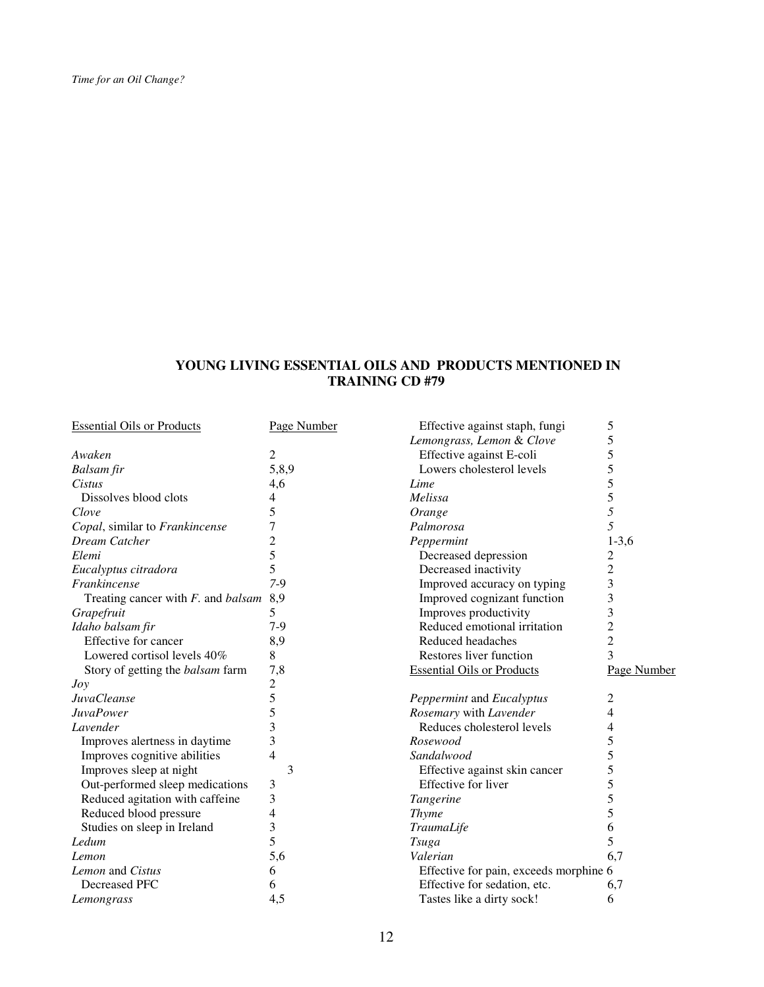## **YOUNG LIVING ESSENTIAL OILS AND PRODUCTS MENTIONED IN TRAINING CD #79**

| <b>Essential Oils or Products</b>         | Page Number    | Effective against staph, fungi         | 5              |
|-------------------------------------------|----------------|----------------------------------------|----------------|
|                                           |                | Lemongrass, Lemon & Clove              | 5              |
| Awaken                                    | 2              | Effective against E-coli               | 5              |
| Balsam fir                                | 5,8,9          | Lowers cholesterol levels              | 5              |
| Cistus                                    | 4,6            | Lime                                   | 5              |
| Dissolves blood clots                     | 4              | Melissa                                | 5              |
| Clove                                     | 5              | Orange                                 | 5              |
| Copal, similar to Frankincense            | 7              | Palmorosa                              | 5              |
| Dream Catcher                             | $\overline{c}$ | Peppermint                             | $1-3,6$        |
| Elemi                                     | 5              | Decreased depression                   | 2              |
| Eucalyptus citradora                      | 5              | Decreased inactivity                   | $\overline{c}$ |
| Frankincense                              | $7-9$          | Improved accuracy on typing            | 3              |
| Treating cancer with $F$ . and balsam 8,9 |                | Improved cognizant function            | 3              |
| Grapefruit                                | 5              | Improves productivity                  | 3              |
| Idaho balsam fir                          | $7-9$          | Reduced emotional irritation           | $\overline{c}$ |
| Effective for cancer                      | 8,9            | Reduced headaches                      | $\overline{c}$ |
| Lowered cortisol levels 40%               | 8              | Restores liver function                | 3              |
| Story of getting the <i>balsam</i> farm   | 7,8            | <b>Essential Oils or Products</b>      | Page Number    |
| Jov                                       | $\overline{c}$ |                                        |                |
| <b>JuvaCleanse</b>                        | 5              | Peppermint and Eucalyptus              | 2              |
| <b>JuvaPower</b>                          | 5              | Rosemary with Lavender                 | 4              |
| Lavender                                  | 3              | Reduces cholesterol levels             | 4              |
| Improves alertness in daytime             | 3              | Rosewood                               | 5              |
| Improves cognitive abilities              | 4              | Sandalwood                             | 5              |
| Improves sleep at night                   | 3              | Effective against skin cancer          | 5              |
| Out-performed sleep medications           | 3              | Effective for liver                    | 5              |
| Reduced agitation with caffeine           | 3              | Tangerine                              | 5              |
| Reduced blood pressure                    | 4              | <b>Thyme</b>                           | 5              |
| Studies on sleep in Ireland               | 3              | TraumaLife                             | 6              |
| Ledum                                     | 5              | <b>Tsuga</b>                           | 5              |
| Lemon                                     | 5,6            | Valerian                               | 6,7            |
| Lemon and Cistus                          | 6              | Effective for pain, exceeds morphine 6 |                |
| Decreased PFC                             | 6              | Effective for sedation, etc.           | 6,7            |
| Lemongrass                                | 4,5            | Tastes like a dirty sock!              | 6              |